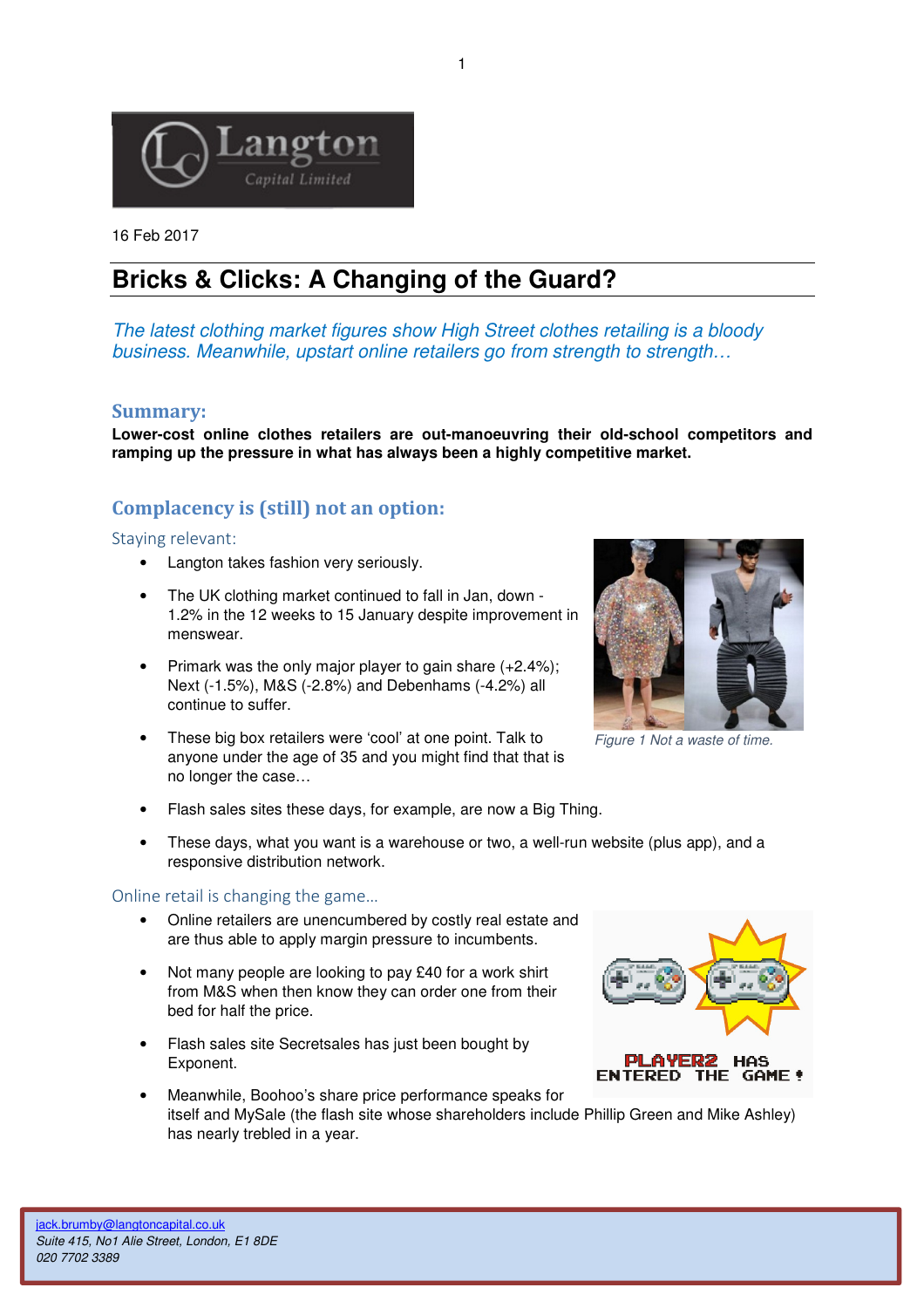

16 Feb 2017

# **Bricks & Clicks: A Changing of the Guard?**

The latest clothing market figures show High Street clothes retailing is a bloody business. Meanwhile, upstart online retailers go from strength to strength...

# **Summary:**

**Lower-cost online clothes retailers are out-manoeuvring their old-school competitors and ramping up the pressure in what has always been a highly competitive market.** 

# **Complacency is (still) not an option:**

#### Staying relevant:

- Langton takes fashion very seriously.
- The UK clothing market continued to fall in Jan, down 1.2% in the 12 weeks to 15 January despite improvement in menswear.
- Primark was the only major player to gain share  $(+2.4\%)$ ; Next (-1.5%), M&S (-2.8%) and Debenhams (-4.2%) all continue to suffer.
- These big box retailers were 'cool' at one point. Talk to anyone under the age of 35 and you might find that that is no longer the case…
- Flash sales sites these days, for example, are now a Big Thing.
- These days, what you want is a warehouse or two, a well-run website (plus app), and a responsive distribution network.

### Online retail is changing the game…

- Online retailers are unencumbered by costly real estate and are thus able to apply margin pressure to incumbents.
- Not many people are looking to pay £40 for a work shirt from M&S when then know they can order one from their bed for half the price.
- Flash sales site Secretsales has just been bought by Exponent.
- Meanwhile, Boohoo's share price performance speaks for itself and MySale (the flash site whose shareholders include Phillip Green and Mike Ashley) has nearly trebled in a year.



Figure 1 Not a waste of time.